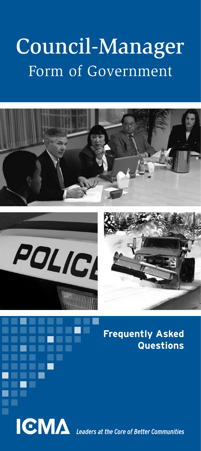# Council-Manager Form of Government

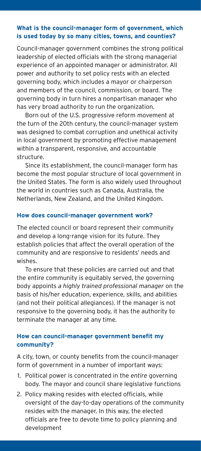#### **What is the council-manager form of government, which is used today by so many cities, towns, and counties?**

Council-manager government combines the strong political leadership of elected officials with the strong managerial experience of an appointed manager or administrator. All power and authority to set policy rests with an elected governing body, which includes a mayor or chairperson and members of the council, commission, or board. The governing body in turn hires a nonpartisan manager who has very broad authority to run the organization.

Born out of the U.S. progressive reform movement at the turn of the 20th century, the council-manager system was designed to combat corruption and unethical activity in local government by promoting effective management within a transparent, responsive, and accountable structure.

Since its establishment, the council-manager form has become the most popular structure of local government in the United States. The form is also widely used throughout the world in countries such as Canada, Australia, the Netherlands, New Zealand, and the United Kingdom.

#### **How does council-manager government work?**

The elected council or board represent their community and develop a long-range vision for its future. They establish policies that affect the overall operation of the community and are responsive to residents' needs and wishes.

To ensure that these policies are carried out and that the entire community is equitably served, the governing body appoints *a highly trained professional manager* on the basis of his/her education, experience, skills, and abilities (and not their political allegiances). If the manager is not responsive to the governing body, it has the authority to terminate the manager at any time.

#### **How can council-manager government benefit my community?**

A city, town, or county benefits from the council-manager form of government in a number of important ways:

- 1. Political power is concentrated in the *entire* governing body. The mayor and council share legislative functions
- 2. Policy making resides with elected officials, while oversight of the day-to-day operations of the community resides with the manager. In this way, the elected officials are free to devote time to policy planning and development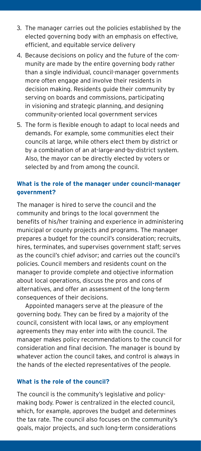- 3. The manager carries out the policies established by the elected governing body with an emphasis on effective, efficient, and equitable service delivery
- 4. Because decisions on policy and the future of the community are made by the entire governing body rather than a single individual, council-manager governments more often engage and involve their residents in decision making. Residents guide their community by serving on boards and commissions, participating in visioning and strategic planning, and designing community-oriented local government services
- 5. The form is flexible enough to adapt to local needs and demands. For example, some communities elect their councils at large, while others elect them by district or by a combination of an at-large-and-by-district system. Also, the mayor can be directly elected by voters or selected by and from among the council.

## **What is the role of the manager under council-manager government?**

The manager is hired to serve the council and the community and brings to the local government the benefits of his/her training and experience in administering municipal or county projects and programs. The manager prepares a budget for the council's consideration; recruits, hires, terminates, and supervises government staff; serves as the council's chief advisor; and carries out the council's policies. Council members and residents count on the manager to provide complete and objective information about local operations, discuss the pros and cons of alternatives, and offer an assessment of the long-term consequences of their decisions.

Appointed managers serve at the pleasure of the governing body. They can be fired by a majority of the council, consistent with local laws, or any employment agreements they may enter into with the council. The manager makes policy recommendations to the council for consideration and final decision. The manager is bound by whatever action the council takes, and control is always in the hands of the elected representatives of the people.

#### **What is the role of the council?**

The council is the community's legislative and policymaking body. Power is centralized in the elected council, which, for example, approves the budget and determines the tax rate. The council also focuses on the community's goals, major projects, and such long-term considerations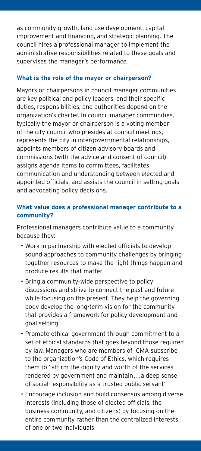as community growth, land use development, capital improvement and financing, and strategic planning. The council hires a professional manager to implement the administrative responsibilities related to these goals and supervises the manager's performance.

#### **What is the role of the mayor or chairperson?**

Mayors or chairpersons in council-manager communities are key political and policy leaders, and their specific duties, responsibilities, and authorities depend on the organization's charter. In council-manager communities, typically the mayor or chairperson is a voting member of the city council who presides at council meetings, represents the city in intergovernmental relationships, appoints members of citizen advisory boards and commissions (with the advice and consent of council), assigns agenda items to committees, facilitates communication and understanding between elected and appointed officials, and assists the council in setting goals and advocating policy decisions.

## **What value does a professional manager contribute to a community?**

Professional managers contribute value to a community because they:

- • Work in partnership with elected officials to develop sound approaches to community challenges by bringing together resources to make the right things happen and produce results that matter
- • Bring a community-wide perspective to policy discussions and strive to connect the past and future while focusing on the present. They help the governing body develop the long-term vision for the community that provides a framework for policy development and goal setting
- • Promote ethical government through commitment to a set of ethical standards that goes beyond those required by law. Managers who are members of ICMA subscribe to the organization's Code of Ethics, which requires them to "affirm the dignity and worth of the services rendered by government and maintain. . .a deep sense of social responsibility as a trusted public servant"
- • Encourage inclusion and build consensus among diverse interests (including those of elected officials, the business community, and citizens) by focusing on the entire community rather than the centralized interests of one or two individuals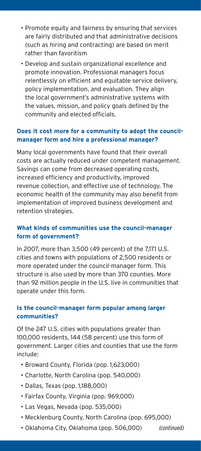- • Promote equity and fairness by ensuring that services are fairly distributed and that administrative decisions (such as hiring and contracting) are based on merit rather than favoritism
- • Develop and sustain organizational excellence and promote innovation. Professional managers focus relentlessly on efficient and equitable service delivery, policy implementation, and evaluation. They align the local government's administrative systems with the values, mission, and policy goals defined by the community and elected officials.

## **Does it cost more for a community to adopt the councilmanager form and hire a professional manager?**

Many local governments have found that their overall costs are actually reduced under competent management. Savings can come from decreased operating costs, increased efficiency and productivity, improved revenue collection, and effective use of technology. The economic health of the community may also benefit from implementation of improved business development and retention strategies.

## **What kinds of communities use the council-manager form of government?**

In 2007, more than 3,500 (49 percent) of the 7,171 U.S. cities and towns with populations of 2,500 residents or more operated under the council-manager form. This structure is also used by more than 370 counties. More than 92 million people in the U.S. live in communities that operate under this form.

## **Is the council-manager form popular among larger communities?**

Of the 247 U.S. cities with populations greater than 100,000 residents, 144 (58 percent) use this form of government. Larger cities and counties that use the form include:

- • Broward County, Florida (pop. 1,623,000)
- • Charlotte, North Carolina (pop. 540,000)
- • Dallas, Texas (pop. 1,188,000)
- • Fairfax County, Virginia (pop. 969,000)
- • Las Vegas, Nevada (pop. 535,000)
- • Mecklenburg County, North Carolina (pop. 695,000)
- • Oklahoma City, Oklahoma (pop. 506,000) *(continued)*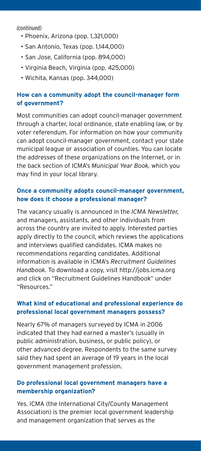*(continued)*

- • Phoenix, Arizona (pop. 1,321,000)
- • San Antonio, Texas (pop. 1,144,000)
- • San Jose, California (pop. 894,000)
- • Virginia Beach, Virginia (pop. 425,000)
- • Wichita, Kansas (pop. 344,000)

## **How can a community adopt the council-manager form of government?**

Most communities can adopt council-manager government through a charter, local ordinance, state enabling law, or by voter referendum. For information on how your community can adopt council-manager government, contact your state municipal league or association of counties. You can locate the addresses of these organizations on the Internet, or in the back section of ICMA's *Municipal Year Book,* which you may find in your local library.

## **Once a community adopts council-manager government, how does it choose a professional manager?**

The vacancy usually is announced in the *ICMA Newsletter,*  and managers, assistants, and other individuals from across the country are invited to apply. Interested parties apply directly to the council, which reviews the applications and interviews qualified candidates. ICMA makes no recommendations regarding candidates. Additional information is available in ICMA's *Recruitment Guidelines Handbook.* To download a copy, visit http://jobs.icma.org and click on "Recruitment Guidelines Handbook" under "Resources."

## **What kind of educational and professional experience do professional local government managers possess?**

Nearly 67% of managers surveyed by ICMA in 2006 indicated that they had earned a master's (usually in public administration, business, or public policy), or other advanced degree. Respondents to the same survey said they had spent an average of 19 years in the local government management profession.

## **Do professional local government managers have a membership organization?**

Yes. ICMA (the International City/County Management Association) is the premier local government leadership and management organization that serves as the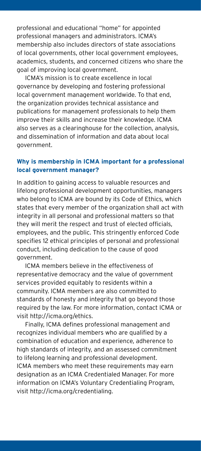professional and educational "home" for appointed professional managers and administrators. ICMA's membership also includes directors of state associations of local governments, other local government employees, academics, students, and concerned citizens who share the goal of improving local government.

ICMA's mission is to create excellence in local governance by developing and fostering professional local government management worldwide. To that end, the organization provides technical assistance and publications for management professionals to help them improve their skills and increase their knowledge. ICMA also serves as a clearinghouse for the collection, analysis, and dissemination of information and data about local government.

#### **Why is membership in ICMA important for a professional local government manager?**

In addition to gaining access to valuable resources and lifelong professional development opportunities, managers who belong to ICMA are bound by its Code of Ethics, which states that every member of the organization shall act with integrity in all personal and professional matters so that they will merit the respect and trust of elected officials, employees, and the public. This stringently enforced Code specifies 12 ethical principles of personal and professional conduct, including dedication to the cause of good government.

ICMA members believe in the effectiveness of representative democracy and the value of government services provided equitably to residents within a community. ICMA members are also committed to standards of honesty and integrity that go beyond those required by the law. For more information, contact ICMA or visit http://icma.org/ethics.

Finally, ICMA defines professional management and recognizes individual members who are qualified by a combination of education and experience, adherence to high standards of integrity, and an assessed commitment to lifelong learning and professional development. ICMA members who meet these requirements may earn designation as an ICMA Credentialed Manager. For more information on ICMA's Voluntary Credentialing Program, visit http://icma.org/credentialing.